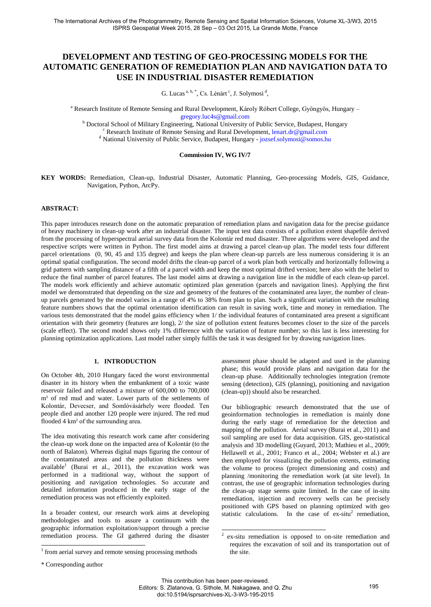# **DEVELOPMENT AND TESTING OF GEO-PROCESSING MODELS FOR THE AUTOMATIC GENERATION OF REMEDIATION PLAN AND NAVIGATION DATA TO USE IN INDUSTRIAL DISASTER REMEDIATION**

G. Lucas <sup>a, b, \*</sup>, Cs. Lénárt<sup>c</sup>, J. Solymosi<sup>d</sup>,

<sup>a</sup> Research Institute of Remote Sensing and Rural Development, Károly Róbert College, Gyöngyös, Hungary – [gregory.luc4s@gmail.com](mailto:gregory.luc4s@gmail.com)

<sup>b</sup> Doctoral School of Military Engineering, National University of Public Service, Budapest, Hungary  $c$  Research Institute of Remote Sensing and Rural Development[, lenart.dr@gmail.com](mailto:lenart.dr@gmail.com) <sup>d</sup> National University of Public Service, Budapest, Hungary - [jozsef.solymosi@somos.hu](mailto:jozsef.solymosi@somos.hu)

#### **Commission IV, WG IV/7**

**KEY WORDS:** Remediation, Clean-up, Industrial Disaster, Automatic Planning, Geo-processing Models, GIS, Guidance, Navigation, Python, ArcPy.

# **ABSTRACT:**

This paper introduces research done on the automatic preparation of remediation plans and navigation data for the precise guidance of heavy machinery in clean-up work after an industrial disaster. The input test data consists of a pollution extent shapefile derived from the processing of hyperspectral aerial survey data from the Kolontár red mud disaster. Three algorithms were developed and the respective scripts were written in Python. The first model aims at drawing a parcel clean-up plan. The model tests four different parcel orientations (0, 90, 45 and 135 degree) and keeps the plan where clean-up parcels are less numerous considering it is an optimal spatial configuration. The second model drifts the clean-up parcel of a work plan both vertically and horizontally following a grid pattern with sampling distance of a fifth of a parcel width and keep the most optimal drifted version; here also with the belief to reduce the final number of parcel features. The last model aims at drawing a navigation line in the middle of each clean-up parcel. The models work efficiently and achieve automatic optimized plan generation (parcels and navigation lines). Applying the first model we demonstrated that depending on the size and geometry of the features of the contaminated area layer, the number of cleanup parcels generated by the model varies in a range of 4% to 38% from plan to plan. Such a significant variation with the resulting feature numbers shows that the optimal orientation identification can result in saving work, time and money in remediation. The various tests demonstrated that the model gains efficiency when 1/ the individual features of contaminated area present a significant orientation with their geometry (features are long), 2/ the size of pollution extent features becomes closer to the size of the parcels (scale effect). The second model shows only 1% difference with the variation of feature number; so this last is less interesting for planning optimization applications. Last model rather simply fulfils the task it was designed for by drawing navigation lines.

#### **1. INTRODUCTION**

On October 4th, 2010 Hungary faced the worst environmental disaster in its history when the embankment of a toxic waste reservoir failed and released a mixture of 600,000 to 700,000 m<sup>3</sup> of red mud and water. Lower parts of the settlements of Kolontár, Devecser, and Somlóvásárhely were flooded. Ten people died and another 120 people were injured. The red mud flooded 4 km² of the surrounding area.

The idea motivating this research work came after considering the clean-up work done on the impacted area of Kolontár (to the north of Balaton). Whereas digital maps figuring the contour of the contaminated areas and the pollution thickness were available<sup>1</sup> (Burai et al., 2011), the excavation work was performed in a traditional way, without the support of positioning and navigation technologies. So accurate and detailed information produced in the early stage of the remediation process was not efficiently exploited.

In a broader context, our research work aims at developing methodologies and tools to assure a continuum with the geographic information exploitation/support through a precise remediation process. The GI gathered during the disaster

 $\overline{a}$ 

assessment phase should be adapted and used in the planning phase; this would provide plans and navigation data for the clean-up phase. Additionally technologies integration (remote sensing (detection), GIS (planning), positioning and navigation (clean-up)) should also be researched.

Our bibliographic research demonstrated that the use of geoinformation technologies in remediation is mainly done during the early stage of remediation for the detection and mapping of the pollution. Aerial survey (Burai et al., 2011) and soil sampling are used for data acquisition. GIS, geo-statistical analysis and 3D modelling (Guyard, 2013; Mathieu et al., 2009; Hellawell et al., 2001; Franco et al., 2004; Webster et al.) are then employed for visualizing the pollution extents, estimating the volume to process (project dimensioning and costs) and planning /monitoring the remediation work (at site level). In contrast, the use of geographic information technologies during the clean-up stage seems quite limited. In the case of in-situ remediation, injection and recovery wells can be precisely positioned with GPS based on planning optimized with geo statistic calculations. In the case of  $ex$ -situ<sup>2</sup> remediation,

<sup>&</sup>lt;sup>1</sup> from aerial survey and remote sensing processing methods

<sup>\*</sup> Corresponding author

 $\frac{1}{2}$ ex-situ remediation is opposed to on-site remediation and requires the excavation of soil and its transportation out of the site.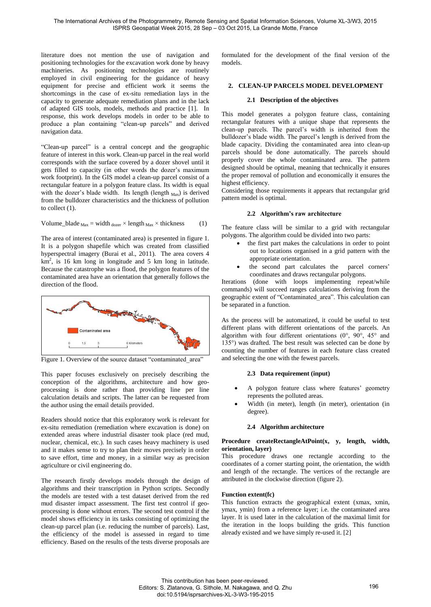literature does not mention the use of navigation and positioning technologies for the excavation work done by heavy machineries. As positioning technologies are routinely employed in civil engineering for the guidance of heavy equipment for precise and efficient work it seems the shortcomings in the case of ex-situ remediation lays in the capacity to generate adequate remediation plans and in the lack of adapted GIS tools, models, methods and practice [1]. In response, this work develops models in order to be able to produce a plan containing "clean-up parcels" and derived navigation data.

"Clean-up parcel" is a central concept and the geographic feature of interest in this work. Clean-up parcel in the real world corresponds with the surface covered by a dozer shovel until it gets filled to capacity (in other words the dozer's maximum work footprint). In the GIS model a clean-up parcel consist of a rectangular feature in a polygon feature class. Its width is equal with the dozer's blade width. Its length (length  $_{\text{Max}}$ ) is derived from the bulldozer characteristics and the thickness of pollution to collect (1).

Volume\_blade Max = width dozer × length Max × thickness (1)

The area of interest (contaminated area) is presented in figure 1. It is a polygon shapefile which was created from classified hyperspectral imagery (Burai et al., 2011). The area covers 4  $km^2$ , is 16 km long in longitude and 5 km long in latitude. Because the catastrophe was a flood, the polygon features of the contaminated area have an orientation that generally follows the direction of the flood.



Figure 1. Overview of the source dataset "contaminated area"

This paper focuses exclusively on precisely describing the conception of the algorithms, architecture and how geoprocessing is done rather than providing line per line calculation details and scripts. The latter can be requested from the author using the email details provided.

Readers should notice that this exploratory work is relevant for ex-situ remediation (remediation where excavation is done) on extended areas where industrial disaster took place (red mud, nuclear, chemical, etc.). In such cases heavy machinery is used and it makes sense to try to plan their moves precisely in order to save effort, time and money, in a similar way as precision agriculture or civil engineering do.

The research firstly develops models through the design of algorithms and their transcription in Python scripts. Secondly the models are tested with a test dataset derived from the red mud disaster impact assessment. The first test control if geoprocessing is done without errors. The second test control if the model shows efficiency in its tasks consisting of optimizing the clean-up parcel plan (i.e. reducing the number of parcels). Last, the efficiency of the model is assessed in regard to time efficiency. Based on the results of the tests diverse proposals are

formulated for the development of the final version of the models.

# **2. CLEAN-UP PARCELS MODEL DEVELOPMENT**

# **2.1 Description of the objectives**

This model generates a polygon feature class, containing rectangular features with a unique shape that represents the clean-up parcels. The parcel's width is inherited from the bulldozer's blade width. The parcel's length is derived from the blade capacity. Dividing the contaminated area into clean-up parcels should be done automatically. The parcels should properly cover the whole contaminated area. The pattern designed should be optimal, meaning that technically it ensures the proper removal of pollution and economically it ensures the highest efficiency.

Considering those requirements it appears that rectangular grid pattern model is optimal.

# **2.2 Algorithm's raw architecture**

The feature class will be similar to a grid with rectangular polygons. The algorithm could be divided into two parts:

- the first part makes the calculations in order to point out to locations organised in a grid pattern with the appropriate orientation.
- the second part calculates the parcel corners' coordinates and draws rectangular polygons.

Iterations (done with loops implementing repeat/while commands) will succeed ranges calculations deriving from the geographic extent of "Contaminated\_area". This calculation can be separated in a function.

As the process will be automatized, it could be useful to test different plans with different orientations of the parcels. An algorithm with four different orientations (0°, 90°, 45° and 135°) was drafted. The best result was selected can be done by counting the number of features in each feature class created and selecting the one with the fewest parcels.

# **2.3 Data requirement (input)**

- A polygon feature class where features' geometry represents the polluted areas.
- Width (in meter), length (in meter), orientation (in degree).

# **2.4 Algorithm architecture**

# **Procedure createRectangleAtPoint(x, y, length, width, orientation, layer)**

This procedure draws one rectangle according to the coordinates of a corner starting point, the orientation, the width and length of the rectangle. The vertices of the rectangle are attributed in the clockwise direction (figure 2).

# **Function extent(fc)**

This function extracts the geographical extent (xmax, xmin, ymax, ymin) from a reference layer; i.e. the contaminated area layer. It is used later in the calculation of the maximal limit for the iteration in the loops building the grids. This function already existed and we have simply re-used it. [2]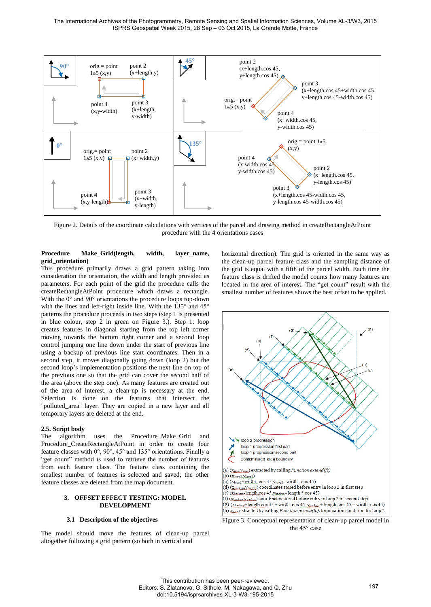The International Archives of the Photogrammetry, Remote Sensing and Spatial Information Sciences, Volume XL-3/W3, 2015 ISPRS Geospatial Week 2015, 28 Sep – 03 Oct 2015, La Grande Motte, France



Figure 2. Details of the coordinate calculations with vertices of the parcel and drawing method in createRectangleAtPoint procedure with the 4 orientations cases

#### Procedure Make Grid(length, width, layer name, **grid\_orientation)**

This procedure primarily draws a grid pattern taking into consideration the orientation, the width and length provided as parameters. For each point of the grid the procedure calls the createRectangleAtPoint procedure which draws a rectangle. With the 0° and 90° orientations the procedure loops top-down with the lines and left-right inside line. With the 135° and 45° patterns the procedure proceeds in two steps (step 1 is presented in blue colour, step 2 in green on Figure 3.). Step 1: loop creates features in diagonal starting from the top left corner moving towards the bottom right corner and a second loop control jumping one line down under the start of previous line using a backup of previous line start coordinates. Then in a second step, it moves diagonally going down (loop 2) but the second loop's implementation positions the next line on top of the previous one so that the grid can cover the second half of the area (above the step one). As many features are created out of the area of interest, a clean-up is necessary at the end. Selection is done on the features that intersect the "polluted\_area" layer. They are copied in a new layer and all temporary layers are deleted at the end.

# **2.5. Script body**

The algorithm uses the Procedure\_Make\_Grid and Procedure\_CreateRectangleAtPoint in order to create four feature classes with 0°, 90°, 45° and 135° orientations. Finally a "get count" method is used to retrieve the number of features from each feature class. The feature class containing the smallest number of features is selected and saved; the other feature classes are deleted from the map document.

#### **3. OFFSET EFFECT TESTING: MODEL DEVELOPMENT**

#### **3.1 Description of the objectives**

The model should move the features of clean-up parcel altogether following a grid pattern (so both in vertical and

horizontal direction). The grid is oriented in the same way as the clean-up parcel feature class and the sampling distance of the grid is equal with a fifth of the parcel width. Each time the feature class is drifted the model counts how many features are located in the area of interest. The "get count" result with the smallest number of features shows the best offset to be applied.



Figure 3. Conceptual representation of clean-up parcel model in the 45° case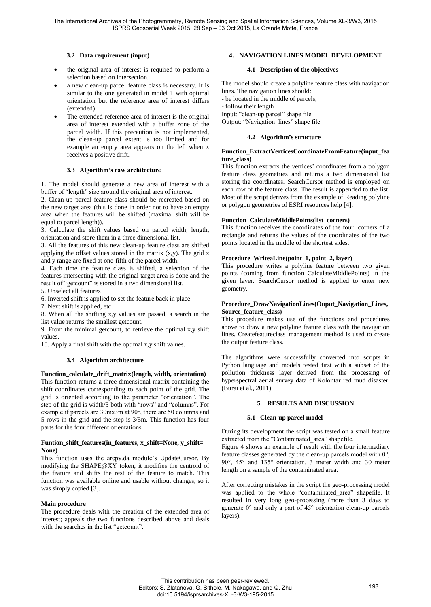# **3.2 Data requirement (input)**

- the original area of interest is required to perform a selection based on intersection.
- a new clean-up parcel feature class is necessary. It is similar to the one generated in model 1 with optimal orientation but the reference area of interest differs (extended).
- The extended reference area of interest is the original area of interest extended with a buffer zone of the parcel width. If this precaution is not implemented, the clean-up parcel extent is too limited and for example an empty area appears on the left when x receives a positive drift.

# **3.3 Algorithm's raw architecture**

1. The model should generate a new area of interest with a buffer of "length" size around the original area of interest.

2. Clean-up parcel feature class should be recreated based on the new target area (this is done in order not to have an empty area when the features will be shifted (maximal shift will be equal to parcel length)).

3. Calculate the shift values based on parcel width, length, orientation and store them in a three dimensional list.

3. All the features of this new clean-up feature class are shifted applying the offset values stored in the matrix  $(x,y)$ . The grid x and y range are fixed at one-fifth of the parcel width.

4. Each time the feature class is shifted, a selection of the features intersecting with the original target area is done and the result of "getcount" is stored in a two dimensional list.

5. Unselect all features

6. Inverted shift is applied to set the feature back in place.

7. Next shift is applied, etc.

8. When all the shifting x,y values are passed, a search in the list value returns the smallest getcount.

9. From the minimal getcount, to retrieve the optimal x,y shift values.

10. Apply a final shift with the optimal x,y shift values.

# **3.4 Algorithm architecture**

# Function calculate drift matrix(length, width, orientation)

This function returns a three dimensional matrix containing the shift coordinates corresponding to each point of the grid. The grid is oriented according to the parameter "orientation". The step of the grid is width/5 both with "rows" and "columns". For example if parcels are 30mx3m at 90°, there are 50 columns and 5 rows in the grid and the step is 3/5m. This function has four parts for the four different orientations.

#### **Funtion\_shift\_features(in\_features, x\_shift=None, y\_shift= None)**

This function uses the arcpy.da module's [UpdateCursor.](http://resources.arcgis.com/en/help/main/10.1/index.html#//018w00000014000000) By modifying the SHAPE@XY token, it modifies the centroid of the feature and shifts the rest of the feature to match. This function was available online and usable without changes, so it was simply copied [3].

# **Main procedure**

The procedure deals with the creation of the extended area of interest; appeals the two functions described above and deals with the searches in the list "getcount".

# **4. NAVIGATION LINES MODEL DEVELOPMENT**

# **4.1 Description of the objectives**

The model should create a polyline feature class with navigation lines. The navigation lines should:

- be located in the middle of parcels,

- follow their length

Input: "clean-up parcel" shape file

Output: "Navigation\_lines" shape file

# **4.2 Algorithm's structure**

# **Function\_ExtractVerticesCoordinateFromFeature(input\_fea ture\_class)**

This function extracts the vertices' coordinates from a polygon feature class geometries and returns a two dimensional list storing the coordinates. SearchCursor method is employed on each row of the feature class. The result is appended to the list. Most of the script derives from the example of Reading polyline or polygon geometries of ESRI resources help [4].

# **Function\_CalculateMiddlePoints(list\_corners)**

This function receives the coordinates of the four corners of a rectangle and returns the values of the coordinates of the two points located in the middle of the shortest sides.

# **Procedure\_WriteaLine(point\_1, point\_2, layer)**

This procedure writes a polyline feature between two given points (coming from function\_CalculateMiddlePoints) in the given layer. SearchCursor method is applied to enter new geometry.

# **Procedure\_DrawNavigationLines(Ouput\_Navigation\_Lines, Source\_feature\_class)**

This procedure makes use of the functions and procedures above to draw a new polyline feature class with the navigation lines. Createfeatureclass\_management method is used to create the output feature class.

The algorithms were successfully converted into scripts in Python language and models tested first with a subset of the pollution thickness layer derived from the processing of hyperspectral aerial survey data of Kolontar red mud disaster. (Burai et al., 2011)

# **5. RESULTS AND DISCUSSION**

# **5.1 Clean-up parcel model**

During its development the script was tested on a small feature extracted from the "Contaminated\_area" shapefile.

Figure 4 shows an example of result with the four intermediary feature classes generated by the clean-up parcels model with 0°, 90°, 45° and 135° orientation, 3 meter width and 30 meter length on a sample of the contaminated area.

After correcting mistakes in the script the geo-processing model was applied to the whole "contaminated area" shapefile. It resulted in very long geo-processing (more than 3 days to generate 0° and only a part of 45° orientation clean-up parcels layers).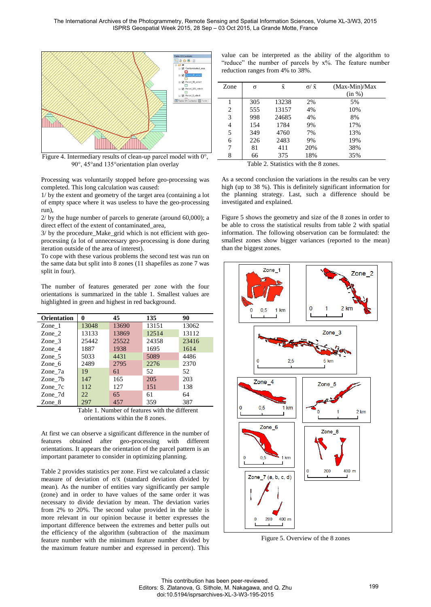

Figure 4. Intermediary results of clean-up parcel model with 0°, 90°, 45°and 135°orientation plan overlay

Processing was voluntarily stopped before geo-processing was completed. This long calculation was caused:

1/ by the extent and geometry of the target area (containing a lot of empty space where it was useless to have the geo-processing run),

2/ by the huge number of parcels to generate (around 60,000); a direct effect of the extent of contaminated\_area,

3/ by the procedure\_Make\_grid which is not efficient with geoprocessing (a lot of unnecessary geo-processing is done during iteration outside of the area of interest).

To cope with these various problems the second test was run on the same data but split into 8 zones (11 shapefiles as zone 7 was split in four).

The number of features generated per zone with the four orientations is summarized in the table 1. Smallest values are highlighted in green and highest in red background.

| <b>Orientation</b> | 0     | 45    | 135   | 90    |
|--------------------|-------|-------|-------|-------|
| Zone $1$           | 13048 | 13690 | 13151 | 13062 |
| Zone 2             | 13133 | 13869 | 12514 | 13112 |
| Zone 3             | 25442 | 25522 | 24358 | 23416 |
| Zone 4             | 1887  | 1938  | 1695  | 1614  |
| Zone 5             | 5033  | 4431  | 5089  | 4486  |
| Zone 6             | 2489  | 2795  | 2276  | 2370  |
| Zone_ $7a$         | 19    | 61    | 52    | 52    |
| Zone 7b            | 147   | 165   | 205   | 203   |
| Zone_ $7c$         | 112   | 127   | 151   | 138   |
| Zone $7d$          | 22    | 65    | 61    | 64    |
| Zone 8             | 297   | 457   | 359   | 387   |

Table 1. Number of features with the different orientations within the 8 zones.

At first we can observe a significant difference in the number of features obtained after geo-processing with different orientations. It appears the orientation of the parcel pattern is an important parameter to consider in optimizing planning.

Table 2 provides statistics per zone. First we calculated a classic measure of deviation of  $\sigma/\bar{x}$  (standard deviation divided by mean). As the number of entities vary significantly per sample (zone) and in order to have values of the same order it was necessary to divide deviation by mean. The deviation varies from 2% to 20%. The second value provided in the table is more relevant in our opinion because it better expresses the important difference between the extremes and better pulls out the efficiency of the algorithm (subtraction of the maximum feature number with the minimum feature number divided by the maximum feature number and expressed in percent). This

value can be interpreted as the ability of the algorithm to "reduce" the number of parcels by  $x\%$ . The feature number reduction ranges from 4% to 38%.

| Zone           | σ   | $\bar{x}$ | $\sigma/\bar{x}$ | (Max-Min)/Max |
|----------------|-----|-----------|------------------|---------------|
|                |     |           |                  | (in %)        |
|                | 305 | 13238     | 2%               | 5%            |
| 2              | 555 | 13157     | 4%               | 10%           |
| 3              | 998 | 24685     | 4%               | 8%            |
| $\overline{4}$ | 154 | 1784      | 9%               | 17%           |
| 5              | 349 | 4760      | 7%               | 13%           |
| 6              | 226 | 2483      | 9%               | 19%           |
| 7              | 81  | 411       | 20%              | 38%           |
| 8              | 66  | 375       | 18%              | 35%           |
|                | __  | __        | .                |               |

Table 2. Statistics with the 8 zones.

As a second conclusion the variations in the results can be very high (up to 38 %). This is definitely significant information for the planning strategy. Last, such a difference should be investigated and explained.

Figure 5 shows the geometry and size of the 8 zones in order to be able to cross the statistical results from table 2 with spatial information. The following observation can be formulated: the smallest zones show bigger variances (reported to the mean) than the biggest zones.



Figure 5. Overview of the 8 zones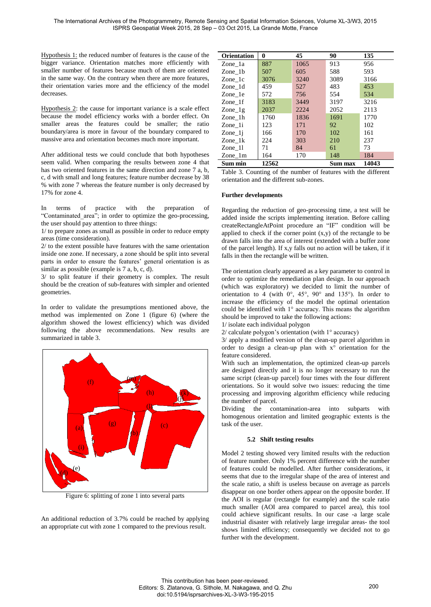Hypothesis 1: the reduced number of features is the cause of the bigger variance. Orientation matches more efficiently with smaller number of features because much of them are oriented in the same way. On the contrary when there are more features, their orientation varies more and the efficiency of the model decreases.

Hypothesis 2: the cause for important variance is a scale effect because the model efficiency works with a border effect. On smaller areas the features could be smaller; the ratio boundary/area is more in favour of the boundary compared to massive area and orientation becomes much more important.

After additional tests we could conclude that both hypotheses seem valid. When comparing the results between zone 4 that has two oriented features in the same direction and zone 7 a, b, c, d with small and long features; feature number decrease by 38 % with zone 7 whereas the feature number is only decreased by 17% for zone 4.

In terms of practice with the preparation of "Contaminated\_area"; in order to optimize the geo-processing, the user should pay attention to three things:

1/ to prepare zones as small as possible in order to reduce empty areas (time consideration).

2/ to the extent possible have features with the same orientation inside one zone. If necessary, a zone should be split into several parts in order to ensure the features' general orientation is as similar as possible (example is 7 a, b, c, d).

3/ to split feature if their geometry is complex. The result should be the creation of sub-features with simpler and oriented geometries.

In order to validate the presumptions mentioned above, the method was implemented on Zone 1 (figure 6) (where the algorithm showed the lowest efficiency) which was divided following the above recommendations. New results are summarized in table 3.



Figure 6: splitting of zone 1 into several parts

An additional reduction of 3.7% could be reached by applying an appropriate cut with zone 1 compared to the previous result.

| <b>Orientation</b>       | 0     | 45   | 90      | 135   |
|--------------------------|-------|------|---------|-------|
| Zone 1a                  | 887   | 1065 | 913     | 956   |
| Zone 1b                  | 507   | 605  | 588     | 593   |
| Zone 1c                  | 3076  | 3240 | 3089    | 3166  |
| Zone 1d                  | 459   | 527  | 483     | 453   |
| Zone 1e                  | 572   | 756  | 554     | 534   |
| Zone 1f                  | 3183  | 3449 | 3197    | 3216  |
| $\text{Zone}_{\perp}$ lg | 2037  | 2224 | 2052    | 2113  |
| Zone 1h                  | 1760  | 1836 | 1691    | 1770  |
| Zone 1i                  | 123   | 171  | 92      | 102   |
| $Zone_1$                 | 166   | 170  | 102     | 161   |
| Zone 1k                  | 224   | 303  | 210     | 237   |
| Zone 11                  | 71    | 84   | 61      | 73    |
| Zone 1m                  | 164   | 170  | 148     | 184   |
| Sum min                  | 12562 |      | Sum max | 14043 |

Table 3. Counting of the number of features with the different orientation and the different sub-zones.

#### **Further developments**

Regarding the reduction of geo-processing time, a test will be added inside the scripts implementing iteration. Before calling createRectangleAtPoint procedure an "IF" condition will be applied to check if the corner point  $(x,y)$  of the rectangle to be drawn falls into the area of interest (extended with a buffer zone of the parcel length). If x,y falls out no action will be taken, if it falls in then the rectangle will be written.

The orientation clearly appeared as a key parameter to control in order to optimize the remediation plan design. In our approach (which was exploratory) we decided to limit the number of orientation to 4 (with  $0^\circ$ ,  $45^\circ$ ,  $90^\circ$  and  $135^\circ$ ). In order to increase the efficiency of the model the optimal orientation could be identified with 1° accuracy. This means the algorithm should be improved to take the following actions:

1/ isolate each individual polygon

3/ apply a modified version of the clean-up parcel algorithm in order to design a clean-up plan with x° orientation for the feature considered.

With such an implementation, the optimized clean-up parcels are designed directly and it is no longer necessary to run the same script (clean-up parcel) four times with the four different orientations. So it would solve two issues: reducing the time processing and improving algorithm efficiency while reducing the number of parcel.

Dividing the contamination-area into subparts with homogenous orientation and limited geographic extents is the task of the user.

# **5.2 Shift testing results**

Model 2 testing showed very limited results with the reduction of feature number. Only 1% percent difference with the number of features could be modelled. After further considerations, it seems that due to the irregular shape of the area of interest and the scale ratio, a shift is useless because on average as parcels disappear on one border others appear on the opposite border. If the AOI is regular (rectangle for example) and the scale ratio much smaller (AOI area compared to parcel area), this tool could achieve significant results. In our case -a large scale industrial disaster with relatively large irregular areas- the tool shows limited efficiency; consequently we decided not to go further with the development.

<sup>2/</sup> calculate polygon's orientation (with 1° accuracy)